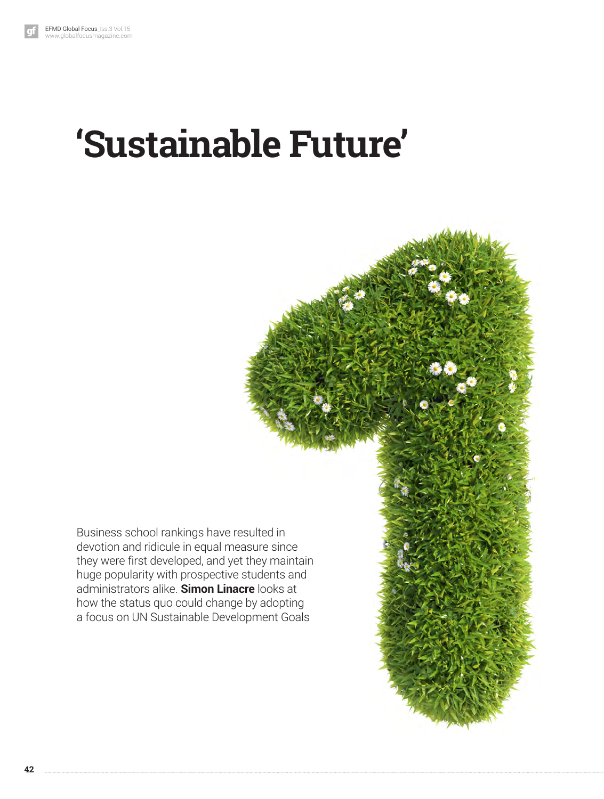# **'Sustainable Future'**

Business school rankings have resulted in devotion and ridicule in equal measure since they were first developed, and yet they maintain huge popularity with prospective students and administrators alike. **Simon Linacre** looks at how the status quo could change by adopting a focus on UN Sustainable Development Goals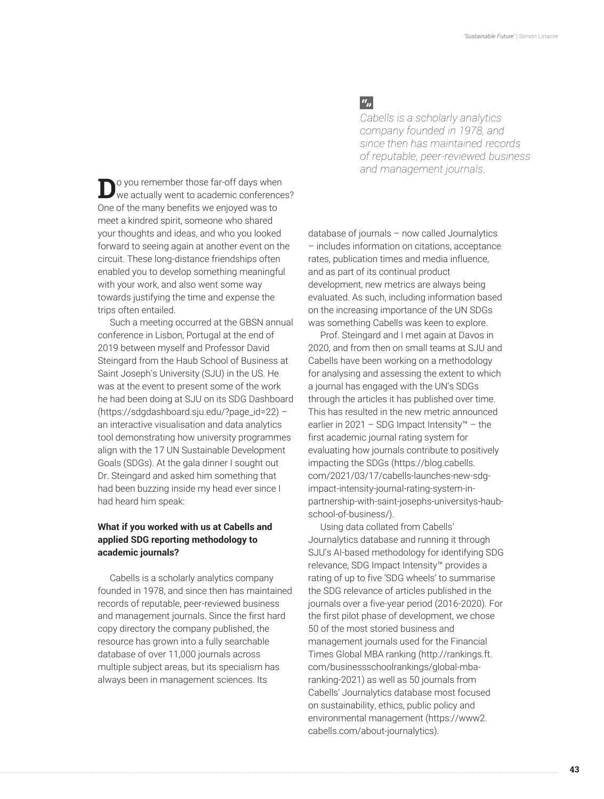**D**o you remember those far-off days when<br>we actually went to academic conferences? One of the many benefits we enjoyed was to meet a kindred spirit, someone who shared your thoughts and ideas, and who you looked forward to seeing again at another event on the circuit. These long-distance friendships often enabled you to develop something meaningful with your work, and also went some way towards justifying the time and expense the trips often entailed.

Such a meeting occurred at the GBSN annual conference in Lisbon, Portugal at the end of 2019 between myself and Professor David Steingard from the Haub School of Business at Saint Joseph's University (SJU) in the US. He was at the event to present some of the work he had been doing at SJU on its SDG Dashboard (https://sdgdashboard.sju.edu/?page\_id=22) – an interactive visualisation and data analytics tool demonstrating how university programmes align with the 17 UN Sustainable Development Goals (SDGs). At the gala dinner I sought out Dr. Steingard and asked him something that had been buzzing inside my head ever since I had heard him speak:

## **What if you worked with us at Cabells and applied SDG reporting methodology to academic journals?**

Cabells is a scholarly analytics company founded in 1978, and since then has maintained records of reputable, peer-reviewed business and management journals. Since the first hard copy directory the company published, the resource has grown into a fully searchable database of over 11,000 journals across multiple subject areas, but its specialism has always been in management sciences. Its

# $a_{jj}$

*Cabells is a scholarly analytics company founded in 1978, and since then has maintained records of reputable, peer-reviewed business and management journals.*

database of journals – now called Journalytics – includes information on citations, acceptance rates, publication times and media influence, and as part of its continual product development, new metrics are always being evaluated. As such, including information based on the increasing importance of the UN SDGs was something Cabells was keen to explore.

Prof. Steingard and I met again at Davos in 2020, and from then on small teams at SJU and Cabells have been working on a methodology for analysing and assessing the extent to which a journal has engaged with the UN's SDGs through the articles it has published over time. This has resulted in the new metric announced earlier in 2021 – SDG Impact Intensity™ – the first academic journal rating system for evaluating how journals contribute to positively impacting the SDGs (https://blog.cabells. com/2021/03/17/cabells-launches-new-sdgimpact-intensity-journal-rating-system-inpartnership-with-saint-josephs-universitys-haubschool-of-business/).

Using data collated from Cabells' Journalytics database and running it through SJU's AI-based methodology for identifying SDG relevance, SDG Impact Intensity™ provides a rating of up to five 'SDG wheels' to summarise the SDG relevance of articles published in the journals over a five-year period (2016-2020). For the first pilot phase of development, we chose 50 of the most storied business and management journals used for the Financial Times Global MBA ranking (http://rankings.ft. com/businessschoolrankings/global-mbaranking-2021) as well as 50 journals from Cabells' Journalytics database most focused on sustainability, ethics, public policy and environmental management (https://www2. cabells.com/about-journalytics).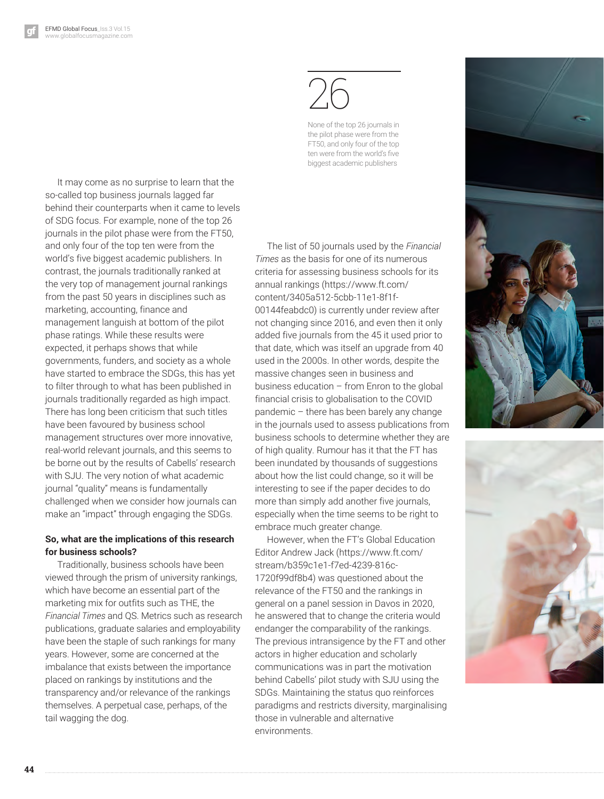It may come as no surprise to learn that the so-called top business journals lagged far behind their counterparts when it came to levels of SDG focus. For example, none of the top 26 journals in the pilot phase were from the FT50, and only four of the top ten were from the world's five biggest academic publishers. In contrast, the journals traditionally ranked at the very top of management journal rankings from the past 50 years in disciplines such as marketing, accounting, finance and management languish at bottom of the pilot phase ratings. While these results were expected, it perhaps shows that while governments, funders, and society as a whole have started to embrace the SDGs, this has yet to filter through to what has been published in journals traditionally regarded as high impact. There has long been criticism that such titles have been favoured by business school management structures over more innovative, real-world relevant journals, and this seems to be borne out by the results of Cabells' research with SJU. The very notion of what academic journal "quality" means is fundamentally challenged when we consider how journals can make an "impact" through engaging the SDGs.

### **So, what are the implications of this research for business schools?**

Traditionally, business schools have been viewed through the prism of university rankings, which have become an essential part of the marketing mix for outfits such as THE, the *Financial Times* and QS. Metrics such as research publications, graduate salaries and employability have been the staple of such rankings for many years. However, some are concerned at the imbalance that exists between the importance placed on rankings by institutions and the transparency and/or relevance of the rankings themselves. A perpetual case, perhaps, of the tail wagging the dog.

26

None of the top 26 journals in the pilot phase were from the FT50, and only four of the top ten were from the world's five biggest academic publishers

The list of 50 journals used by the *Financial Times* as the basis for one of its numerous criteria for assessing business schools for its annual rankings (https://www.ft.com/ content/3405a512-5cbb-11e1-8f1f-00144feabdc0) is currently under review after not changing since 2016, and even then it only added five journals from the 45 it used prior to that date, which was itself an upgrade from 40 used in the 2000s. In other words, despite the massive changes seen in business and business education – from Enron to the global financial crisis to globalisation to the COVID pandemic – there has been barely any change in the journals used to assess publications from business schools to determine whether they are of high quality. Rumour has it that the FT has been inundated by thousands of suggestions about how the list could change, so it will be interesting to see if the paper decides to do more than simply add another five journals, especially when the time seems to be right to embrace much greater change.

However, when the FT's Global Education Editor Andrew Jack (https://www.ft.com/ stream/b359c1e1-f7ed-4239-816c-1720f99df8b4) was questioned about the relevance of the FT50 and the rankings in general on a panel session in Davos in 2020, he answered that to change the criteria would endanger the comparability of the rankings. The previous intransigence by the FT and other actors in higher education and scholarly communications was in part the motivation behind Cabells' pilot study with SJU using the SDGs. Maintaining the status quo reinforces paradigms and restricts diversity, marginalising those in vulnerable and alternative environments.





**44**